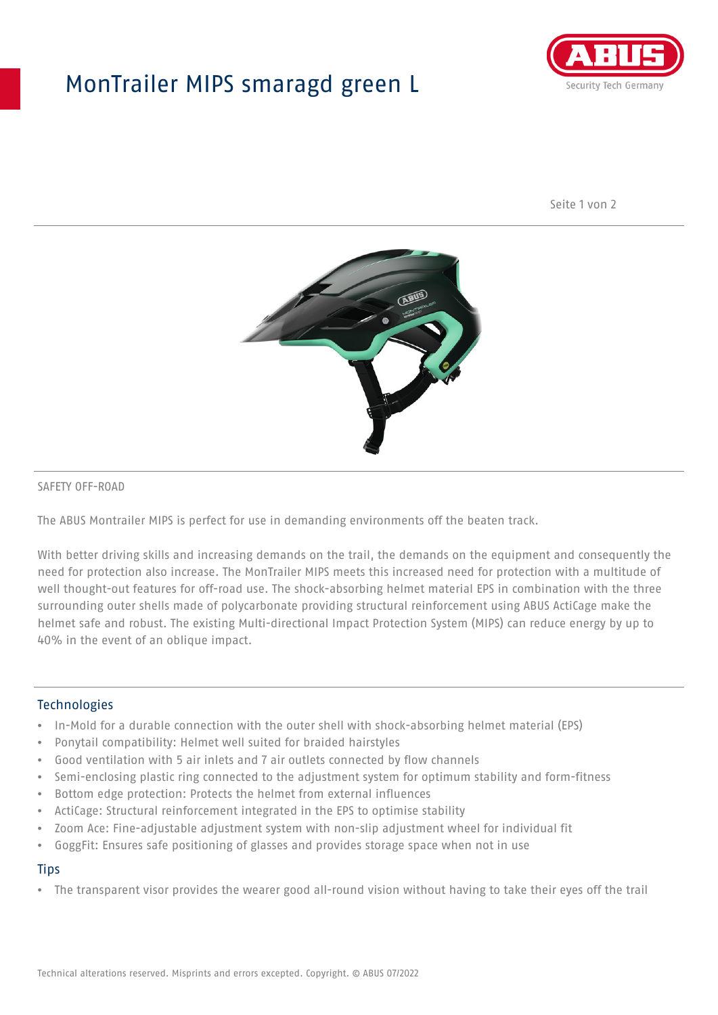## MonTrailer MIPS smaragd green L



Seite 1 von 2



#### SAFETY OFF-ROAD

The ABUS Montrailer MIPS is perfect for use in demanding environments off the beaten track.

With better driving skills and increasing demands on the trail, the demands on the equipment and consequently the need for protection also increase. The MonTrailer MIPS meets this increased need for protection with a multitude of well thought-out features for off-road use. The shock-absorbing helmet material EPS in combination with the three surrounding outer shells made of polycarbonate providing structural reinforcement using ABUS ActiCage make the helmet safe and robust. The existing Multi-directional Impact Protection System (MIPS) can reduce energy by up to 40% in the event of an oblique impact.

#### **Technologies**

- In-Mold for a durable connection with the outer shell with shock-absorbing helmet material (EPS)
- Ponytail compatibility: Helmet well suited for braided hairstyles
- Good ventilation with 5 air inlets and 7 air outlets connected by flow channels
- Semi-enclosing plastic ring connected to the adjustment system for optimum stability and form-fitness
- Bottom edge protection: Protects the helmet from external influences
- ActiCage: Structural reinforcement integrated in the EPS to optimise stability
- Zoom Ace: Fine-adjustable adjustment system with non-slip adjustment wheel for individual fit
- GoggFit: Ensures safe positioning of glasses and provides storage space when not in use

#### **Tips**

• The transparent visor provides the wearer good all-round vision without having to take their eyes off the trail